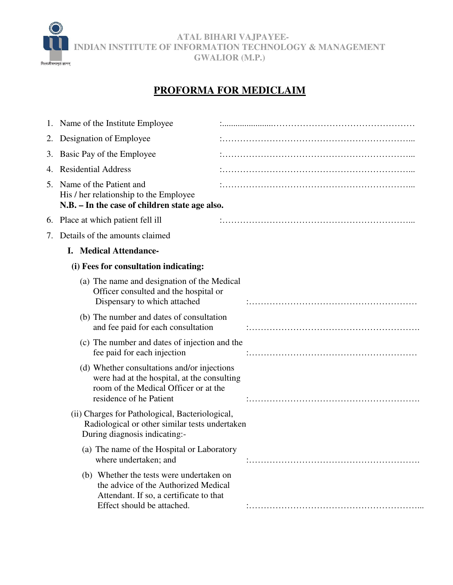विश्वजीवनामृतं ज्ञानम्

**ATAL BIHARI VAJPAYEE-INDIAN INSTITUTE OF INFORMATION TECHNOLOGY & MANAGEMENT GWALIOR (M.P.)** 

# **PROFORMA FOR MEDICLAIM**

|    | Name of the Institute Employee                                                                                                                                 |  |
|----|----------------------------------------------------------------------------------------------------------------------------------------------------------------|--|
| 2. | Designation of Employee                                                                                                                                        |  |
| 3. | Basic Pay of the Employee                                                                                                                                      |  |
| 4. | <b>Residential Address</b>                                                                                                                                     |  |
| 5. | Name of the Patient and<br>His / her relationship to the Employee<br>N.B. – In the case of children state age also.                                            |  |
| 6. | Place at which patient fell ill                                                                                                                                |  |
| 7. | Details of the amounts claimed                                                                                                                                 |  |
|    | I. Medical Attendance-                                                                                                                                         |  |
|    | (i) Fees for consultation indicating:                                                                                                                          |  |
|    | (a) The name and designation of the Medical<br>Officer consulted and the hospital or<br>Dispensary to which attached                                           |  |
|    | (b) The number and dates of consultation<br>and fee paid for each consultation                                                                                 |  |
|    | (c) The number and dates of injection and the<br>fee paid for each injection                                                                                   |  |
|    | (d) Whether consultations and/or injections<br>were had at the hospital, at the consulting<br>room of the Medical Officer or at the<br>residence of he Patient |  |
|    | (ii) Charges for Pathological, Bacteriological,<br>Radiological or other similar tests undertaken<br>During diagnosis indicating:-                             |  |
|    | (a) The name of the Hospital or Laboratory<br>where undertaken; and                                                                                            |  |
|    | (b) Whether the tests were undertaken on<br>the advice of the Authorized Medical<br>Attendant. If so, a certificate to that<br>Effect should be attached.      |  |
|    |                                                                                                                                                                |  |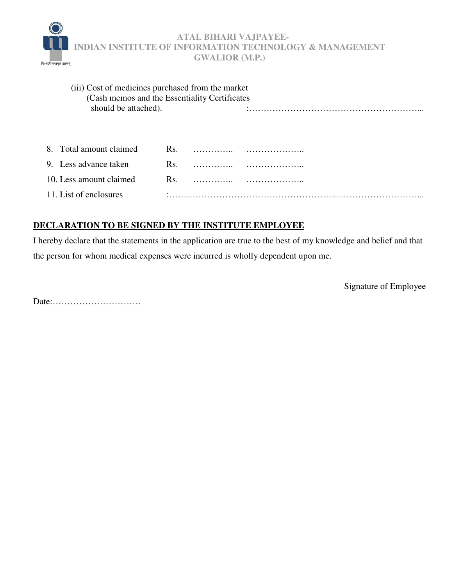#### **ATAL BIHARI VAJPAYEE-INDIAN INSTITUTE OF INFORMATION TECHNOLOGY & MANAGEMENT GWALIOR (M.P.)**  विश्वजीवनामृतं ज्ञानम्

| (iii) Cost of medicines purchased from the market<br>(Cash memos and the Essentiality Certificates)<br>should be attached). |     |  |  |
|-----------------------------------------------------------------------------------------------------------------------------|-----|--|--|
| 8. Total amount claimed                                                                                                     | Rs. |  |  |
| 9. Less advance taken                                                                                                       | Rs. |  |  |
| 10. Less amount claimed                                                                                                     | Rs. |  |  |
| 11. List of enclosures                                                                                                      |     |  |  |

#### **DECLARATION TO BE SIGNED BY THE INSTITUTE EMPLOYEE**

I hereby declare that the statements in the application are true to the best of my knowledge and belief and that the person for whom medical expenses were incurred is wholly dependent upon me.

Signature of Employee

Date:…………………………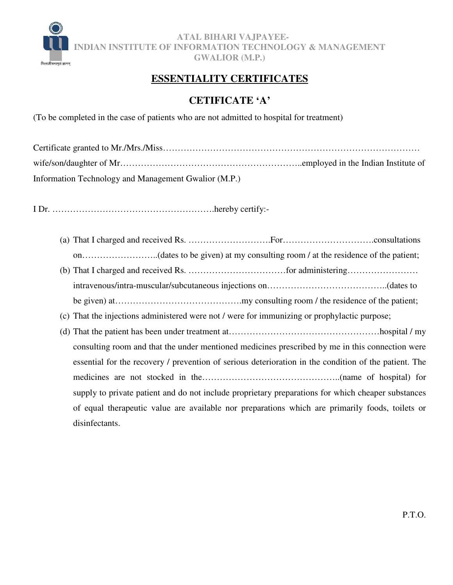

 **ATAL BIHARI VAJPAYEE-INDIAN INSTITUTE OF INFORMATION TECHNOLOGY & MANAGEMENT GWALIOR (M.P.)** 

# **ESSENTIALITY CERTIFICATES**

### **CETIFICATE 'A'**

(To be completed in the case of patients who are not admitted to hospital for treatment)

| Information Technology and Management Gwalior (M.P.) |  |
|------------------------------------------------------|--|

I Dr. ……………………………………………….hereby certify:-

(a) That I charged and received Rs. ……………………….For………………………….consultations on……………………..(dates to be given) at my consulting room / at the residence of the patient; (b) That I charged and received Rs. ……………………………for administering…………………… intravenous/intra-muscular/subcutaneous injections on…………………………………..(dates to be given) at…………………………………….my consulting room / the residence of the patient; (c) That the injections administered were not / were for immunizing or prophylactic purpose; (d) That the patient has been under treatment at……………………………………………hospital / my consulting room and that the under mentioned medicines prescribed by me in this connection were essential for the recovery / prevention of serious deterioration in the condition of the patient. The medicines are not stocked in the………………………………………..(name of hospital) for supply to private patient and do not include proprietary preparations for which cheaper substances of equal therapeutic value are available nor preparations which are primarily foods, toilets or disinfectants.